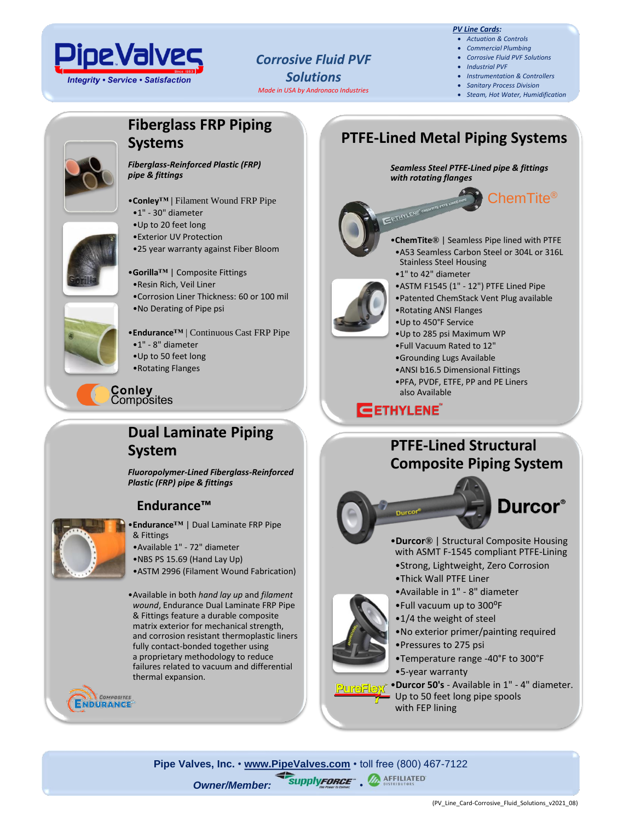

## *Corrosive Fluid PVF Solutions Made in USA by Andronaco Industries*

*PV Line Cards:*

- *Actuation & Controls* • *Commercial Plumbing*
- *Corrosive Fluid PVF Solutions*
- *Industrial PVF*
- *Instrumentation & Controllers*
- *Sanitary Process Division*
- *Steam, Hot Water, Humidification*

ChemTite®

# **Fiberglass FRP Piping Systems**



*Fiberglass-Reinforced Plastic (FRP) pipe & fittings*

- •**Conley™ |** Filament Wound FRP Pipe
- •1" 30" diameter
- •Up to 20 feet long
- •Exterior UV Protection
- •25 year warranty against Fiber Bloom

#### •**Gorilla™** | Composite Fittings

- •Resin Rich, Veil Liner
- •Corrosion Liner Thickness: 60 or 100 mil •No Derating of Pipe psi

•**Endurance™** | Continuous Cast FRP Pipe

- •1" 8" diameter
- •Up to 50 feet long
- •Rotating Flanges

#### ∶onley Composites

# **Dual Laminate Piping System**

*Fluoropolymer-Lined Fiberglass-Reinforced Plastic (FRP) pipe & fittings*

# **Endurance™**



- •**Endurance™** | Dual Laminate FRP Pipe & Fittings
- •Available 1" 72" diameter
- •NBS PS 15.69 (Hand Lay Up)
- •ASTM 2996 (Filament Wound Fabrication)

•Available in both *hand lay up* and *filament wound*, Endurance Dual Laminate FRP Pipe & Fittings feature a durable composite matrix exterior for mechanical strength, and corrosion resistant thermoplastic liners fully contact-bonded together using a proprietary methodology to reduce failures related to vacuum and differential thermal expansion.



*Seamless Steel PTFE-Lined pipe & fittings with rotating flanges*





- •**ChemTite®** | Seamless Pipe lined with PTFE •A53 Seamless Carbon Steel or 304L or 316L Stainless Steel Housing
- •1" to 42" diameter
- •ASTM F1545 (1" 12") PTFE Lined Pipe
- •Patented ChemStack Vent Plug available
- •Rotating ANSI Flanges
- •Up to 450°F Service
	- •Up to 285 psi Maximum WP

**PTFE-Lined Metal Piping Systems**

- •Full Vacuum Rated to 12"
- •Grounding Lugs Available
- •ANSI b16.5 Dimensional Fittings
- •PFA, PVDF, ETFE, PP and PE Liners also Available

# **EETHYLENE**

# **PTFE-Lined Structural Composite Piping System**



relation

- **Durcor**<sup>®</sup>
- •**Durcor®**| Structural Composite Housing with ASMT F-1545 compliant PTFE-Lining
- •Strong, Lightweight, Zero Corrosion
- •Thick Wall PTFE Liner
- •Available in 1" 8" diameter
- •Full vacuum up to 300⁰F
- •1/4 the weight of steel
- •No exterior primer/painting required
- •Pressures to 275 psi
- •Temperature range -40°F to 300°F
- •5-year warranty

•**Durcor 50's** - Available in 1" - 4" diameter. Up to 50 feet long pipe spools<br>with FEB lining with FEP lining

**Pipe Valves, Inc.** • **[www.PipeValves.com](file://///pvi-fps01/Public/Line%20Cards/Columbus/Line%20Cards-Corrosive%20Fluid%20PVF%20Solutions/www.PipeValves.com)** • toll free (800) 467-7122 **Owner/Member: SupplyFORCE . A AFFILIATED**